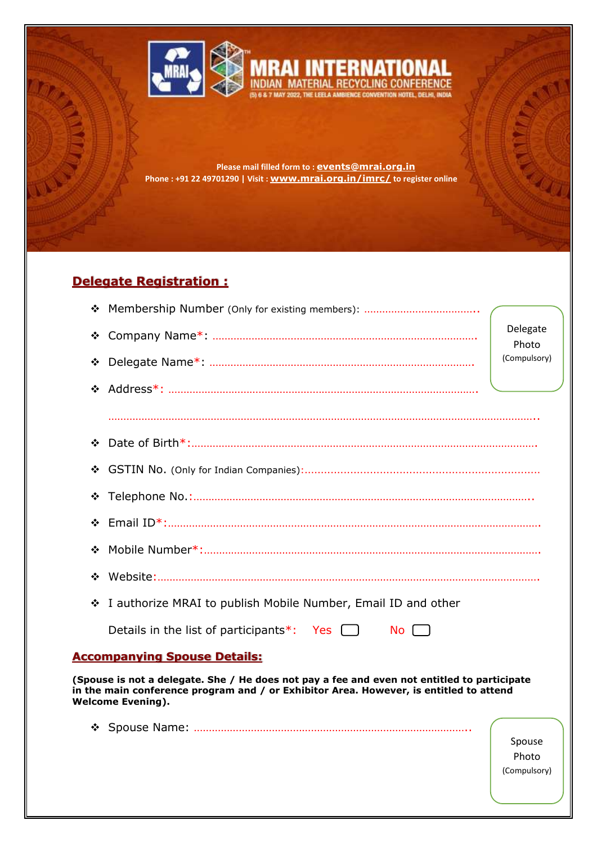

**Please mail filled form to : [events@mrai.org.in](mailto:events@mrai.org.in) Phone : +91 22 49701290 | Visit : [www.mrai.org.in/imrc/](http://www.mrai.org.in/imrc/) to register online**

# **Delegate Registration :**

| ❖                                                                                                                                                                                                                 |                                                                 |                   |  |  |
|-------------------------------------------------------------------------------------------------------------------------------------------------------------------------------------------------------------------|-----------------------------------------------------------------|-------------------|--|--|
| ❖                                                                                                                                                                                                                 |                                                                 | Delegate<br>Photo |  |  |
| ❖                                                                                                                                                                                                                 |                                                                 | (Compulsory)      |  |  |
| ❖                                                                                                                                                                                                                 |                                                                 |                   |  |  |
|                                                                                                                                                                                                                   |                                                                 |                   |  |  |
| ❖                                                                                                                                                                                                                 |                                                                 |                   |  |  |
| ❖                                                                                                                                                                                                                 |                                                                 |                   |  |  |
| ❖                                                                                                                                                                                                                 |                                                                 |                   |  |  |
| ❖                                                                                                                                                                                                                 |                                                                 |                   |  |  |
| ❖                                                                                                                                                                                                                 |                                                                 |                   |  |  |
| ❖                                                                                                                                                                                                                 |                                                                 |                   |  |  |
| ❖                                                                                                                                                                                                                 | I authorize MRAI to publish Mobile Number, Email ID and other   |                   |  |  |
|                                                                                                                                                                                                                   | Details in the list of participants*: Yes $\Box$<br>$No$ $\Box$ |                   |  |  |
| <b>Accompanying Spouse Details:</b>                                                                                                                                                                               |                                                                 |                   |  |  |
| (Spouse is not a delegate. She / He does not pay a fee and even not entitled to participate<br>in the main conference program and / or Exhibitor Area. However, is entitled to attend<br><b>Welcome Evening).</b> |                                                                 |                   |  |  |
| ❖                                                                                                                                                                                                                 |                                                                 | Spouse<br>Photo   |  |  |

(Compulsory)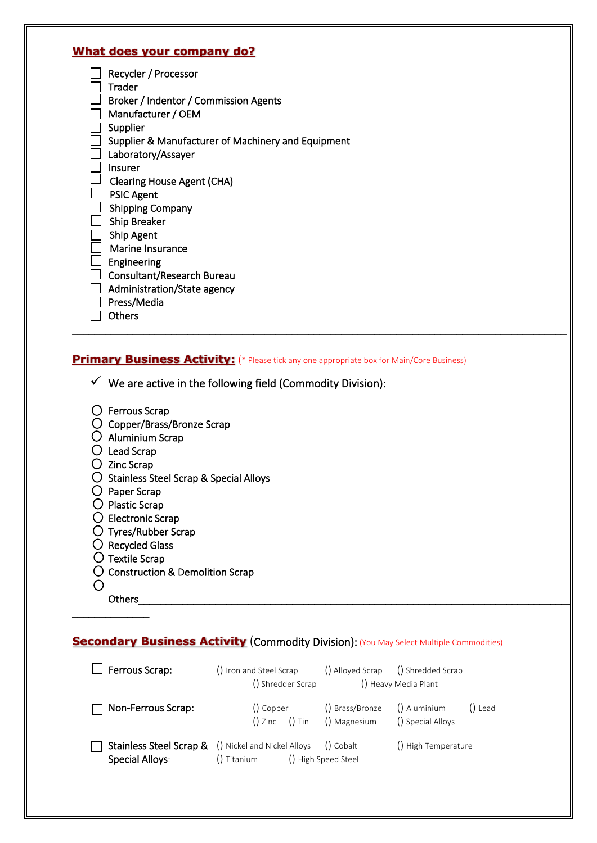### **What does your company do?**

| Recycler / Processor                               |
|----------------------------------------------------|
| Trader                                             |
| Broker / Indentor / Commission Agents              |
| Manufacturer / OEM                                 |
| Supplier                                           |
| Supplier & Manufacturer of Machinery and Equipment |
| Laboratory/Assayer                                 |
| Insurer                                            |
| <b>Clearing House Agent (CHA)</b>                  |
| <b>PSIC Agent</b>                                  |
| <b>Shipping Company</b>                            |
| Ship Breaker                                       |
| Ship Agent                                         |
| Marine Insurance                                   |
| Engineering                                        |
| Consultant/Research Bureau                         |
| Administration/State agency                        |
| Press/Media                                        |
| Others                                             |
|                                                    |

### **Primary Business Activity:** (\* Please tick any one appropriate box for Main/Core Business)

 $\checkmark$  We are active in the following field (Commodity Division):

|  | $\bigcirc$ Ferrous Scrap |  |
|--|--------------------------|--|
|--|--------------------------|--|

- Copper/Brass/Bronze Scrap
- Aluminium Scrap
- Lead Scrap
- $\bigcirc$  Zinc Scrap
- O Stainless Steel Scrap & Special Alloys
- $\bigcirc$  Paper Scrap
- $\bigcirc$  Plastic Scrap
- $\bigcirc$  Electronic Scrap
- Tyres/Rubber Scrap
- $O$  Recycled Glass
- $\bigcirc$  Textile Scrap
- O Construction & Demolition Scrap
- $\bigcirc$ Others\_\_\_\_\_\_\_\_\_\_\_\_\_\_\_\_\_\_\_\_\_\_\_\_\_\_\_\_\_\_\_\_\_\_\_\_\_\_\_\_\_\_\_\_\_\_\_\_\_\_\_\_\_\_\_\_\_\_\_\_\_\_\_\_\_\_\_\_\_\_\_\_\_\_\_\_\_\_\_

\_\_\_\_\_\_\_\_\_\_\_\_\_\_

# **Secondary Business Activity (Commodity Division): (You May Select Multiple Commodities)**

| Ferrous Scrap:            | () Iron and Steel Scrap<br>() Shredder Scrap                                            |                     | () Alloyed Scrap () Shredded Scrap<br>() Heavy Media Plant |
|---------------------------|-----------------------------------------------------------------------------------------|---------------------|------------------------------------------------------------|
| $\Box$ Non-Ferrous Scrap: | () Copper<br>$()$ Zinc $()$ Tin $()$ Magnesium                                          | () Brass/Bronze     | () Aluminium<br>() Lead<br>() Special Alloys               |
| Special Alloys:           | <b>Stainless Steel Scrap &amp;</b> () Nickel and Nickel Alloys () Cobalt<br>() Titanium | () High Speed Steel | () High Temperature                                        |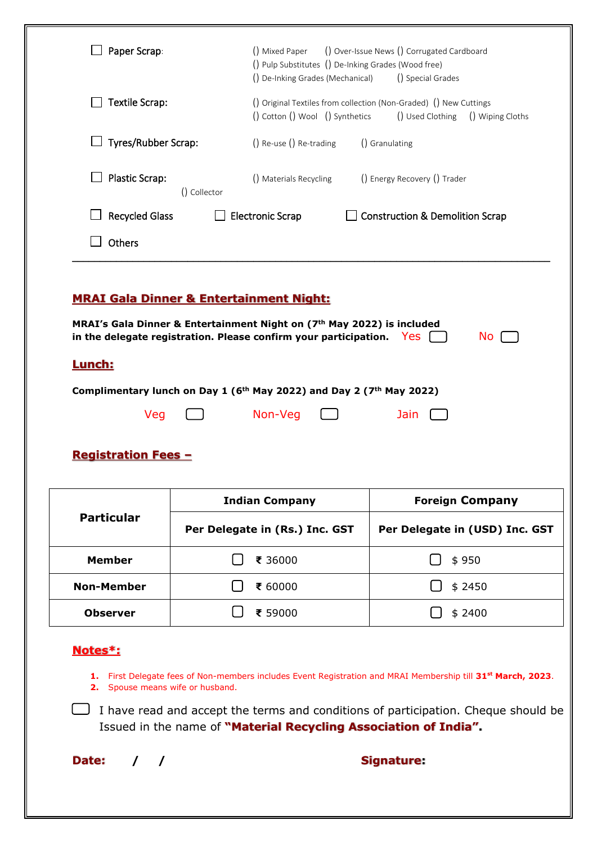| Paper Scrap:                                                                                                                                                                                                                                                                                                                  |              |                                                                                                      |                | () Pulp Substitutes () De-Inking Grades (Wood free) |                                |
|-------------------------------------------------------------------------------------------------------------------------------------------------------------------------------------------------------------------------------------------------------------------------------------------------------------------------------|--------------|------------------------------------------------------------------------------------------------------|----------------|-----------------------------------------------------|--------------------------------|
|                                                                                                                                                                                                                                                                                                                               |              | () De-Inking Grades (Mechanical)                                                                     |                | () Special Grades                                   |                                |
| Textile Scrap:                                                                                                                                                                                                                                                                                                                |              | () Original Textiles from collection (Non-Graded) () New Cuttings<br>() Cotton () Wool () Synthetics |                | () Used Clothing                                    | () Wiping Cloths               |
| $\Box$ Tyres/Rubber Scrap:                                                                                                                                                                                                                                                                                                    |              | () Re-use () Re-trading                                                                              | () Granulating |                                                     |                                |
| <b>Plastic Scrap:</b>                                                                                                                                                                                                                                                                                                         | () Collector | () Materials Recycling                                                                               |                | () Energy Recovery () Trader                        |                                |
| <b>Recycled Glass</b>                                                                                                                                                                                                                                                                                                         |              | <b>Electronic Scrap</b>                                                                              |                | <b>Construction &amp; Demolition Scrap</b>          |                                |
| Others                                                                                                                                                                                                                                                                                                                        |              |                                                                                                      |                |                                                     |                                |
| <b>MRAI Gala Dinner &amp; Entertainment Night:</b><br>MRAI's Gala Dinner & Entertainment Night on (7 <sup>th</sup> May 2022) is included<br>in the delegate registration. Please confirm your participation.<br><u>Lunch:</u><br>Complimentary lunch on Day 1 (6 <sup>th</sup> May 2022) and Day 2 (7 <sup>th</sup> May 2022) |              |                                                                                                      |                | Yes                                                 | No.                            |
| Veg<br><b>Registration Fees -</b>                                                                                                                                                                                                                                                                                             |              | Non-Veg<br><b>Indian Company</b>                                                                     |                | Jain                                                | <b>Foreign Company</b>         |
| <b>Particular</b>                                                                                                                                                                                                                                                                                                             |              | Per Delegate in (Rs.) Inc. GST                                                                       |                |                                                     | Per Delegate in (USD) Inc. GST |
| <b>Member</b>                                                                                                                                                                                                                                                                                                                 |              | ₹ 36000                                                                                              |                |                                                     | \$950                          |
| <b>Non-Member</b>                                                                                                                                                                                                                                                                                                             |              | ₹ 60000                                                                                              |                |                                                     | \$2450                         |

**2.** Spouse means wife or husband.

 $\Box$  I have read and accept the terms and conditions of participation. Cheque should be Issued in the name of **"Material Recycling Association of India".**

**Date: / / Signature:**